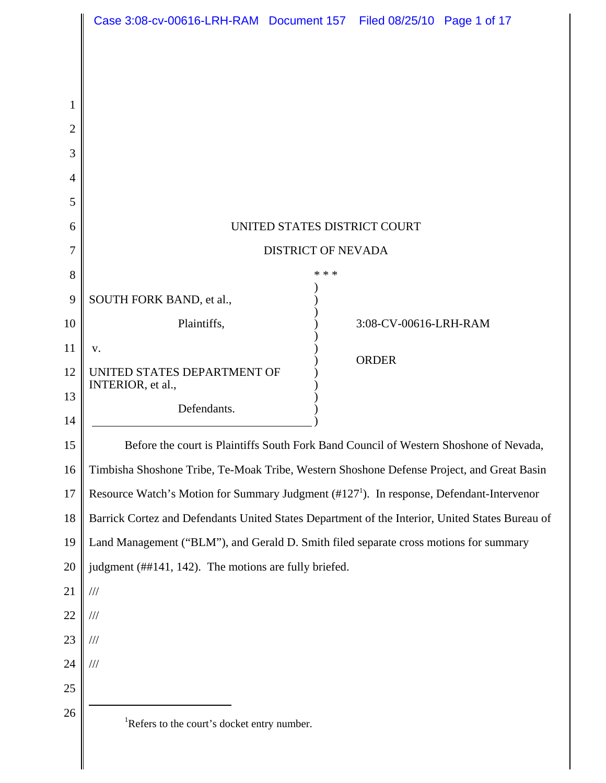|                | Case 3:08-cv-00616-LRH-RAM Document 157 Filed 08/25/10 Page 1 of 17                                  |       |                       |  |
|----------------|------------------------------------------------------------------------------------------------------|-------|-----------------------|--|
|                |                                                                                                      |       |                       |  |
|                |                                                                                                      |       |                       |  |
| 1              |                                                                                                      |       |                       |  |
| $\overline{2}$ |                                                                                                      |       |                       |  |
| 3              |                                                                                                      |       |                       |  |
| $\overline{4}$ |                                                                                                      |       |                       |  |
| 5              |                                                                                                      |       |                       |  |
| 6              | UNITED STATES DISTRICT COURT                                                                         |       |                       |  |
| 7              | <b>DISTRICT OF NEVADA</b>                                                                            |       |                       |  |
| 8              |                                                                                                      | * * * |                       |  |
| 9              | SOUTH FORK BAND, et al.,                                                                             |       |                       |  |
| 10             | Plaintiffs,                                                                                          |       | 3:08-CV-00616-LRH-RAM |  |
| 11             | v.                                                                                                   |       | <b>ORDER</b>          |  |
| 12             | UNITED STATES DEPARTMENT OF<br>INTERIOR, et al.,                                                     |       |                       |  |
| 13             | Defendants.                                                                                          |       |                       |  |
| 14             |                                                                                                      |       |                       |  |
| 15             | Before the court is Plaintiffs South Fork Band Council of Western Shoshone of Nevada,                |       |                       |  |
| 16             | Timbisha Shoshone Tribe, Te-Moak Tribe, Western Shoshone Defense Project, and Great Basin            |       |                       |  |
| 17             | Resource Watch's Motion for Summary Judgment (#127 <sup>1</sup> ). In response, Defendant-Intervenor |       |                       |  |
| 18             | Barrick Cortez and Defendants United States Department of the Interior, United States Bureau of      |       |                       |  |
| 19             | Land Management ("BLM"), and Gerald D. Smith filed separate cross motions for summary                |       |                       |  |
| 20             | judgment (##141, 142). The motions are fully briefed.                                                |       |                       |  |
| 21<br>22       | $/\!/ \!/$<br>$\frac{1}{1}$                                                                          |       |                       |  |
| 23             | $\frac{1}{1}$                                                                                        |       |                       |  |
| 24             | $/\!/ /$                                                                                             |       |                       |  |
| $25\,$         |                                                                                                      |       |                       |  |
| 26             |                                                                                                      |       |                       |  |
|                | <sup>1</sup> Refers to the court's docket entry number.                                              |       |                       |  |
|                |                                                                                                      |       |                       |  |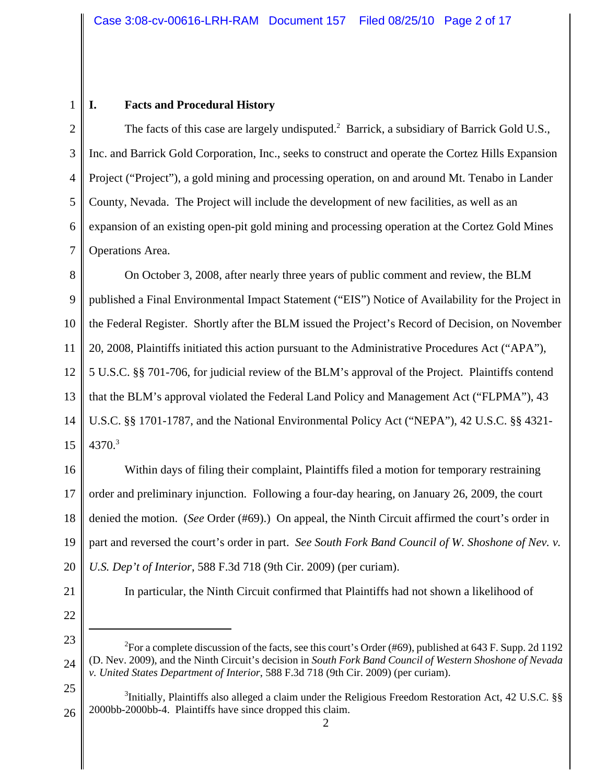# **I. Facts and Procedural History**

2 3 4 5 6 7 The facts of this case are largely undisputed.<sup>2</sup> Barrick, a subsidiary of Barrick Gold U.S., Inc. and Barrick Gold Corporation, Inc., seeks to construct and operate the Cortez Hills Expansion Project ("Project"), a gold mining and processing operation, on and around Mt. Tenabo in Lander County, Nevada. The Project will include the development of new facilities, as well as an expansion of an existing open-pit gold mining and processing operation at the Cortez Gold Mines Operations Area.

8 9 10 11 12 13 14 15 On October 3, 2008, after nearly three years of public comment and review, the BLM published a Final Environmental Impact Statement ("EIS") Notice of Availability for the Project in the Federal Register. Shortly after the BLM issued the Project's Record of Decision, on November 20, 2008, Plaintiffs initiated this action pursuant to the Administrative Procedures Act ("APA"), 5 U.S.C. §§ 701-706, for judicial review of the BLM's approval of the Project. Plaintiffs contend that the BLM's approval violated the Federal Land Policy and Management Act ("FLPMA"), 43 U.S.C. §§ 1701-1787, and the National Environmental Policy Act ("NEPA"), 42 U.S.C. §§ 4321-  $4370.<sup>3</sup>$ 

16 17 18 19 20 Within days of filing their complaint, Plaintiffs filed a motion for temporary restraining order and preliminary injunction. Following a four-day hearing, on January 26, 2009, the court denied the motion. (*See* Order (#69).) On appeal, the Ninth Circuit affirmed the court's order in part and reversed the court's order in part. *See South Fork Band Council of W. Shoshone of Nev. v. U.S. Dep't of Interior*, 588 F.3d 718 (9th Cir. 2009) (per curiam).

21

1

In particular, the Ninth Circuit confirmed that Plaintiffs had not shown a likelihood of

22 23

25

<sup>24</sup> <sup>2</sup>For a complete discussion of the facts, see this court's Order (#69), published at 643 F. Supp. 2d 1192 (D. Nev. 2009), and the Ninth Circuit's decision in *South Fork Band Council of Western Shoshone of Nevada v. United States Department of Interior*, 588 F.3d 718 (9th Cir. 2009) (per curiam).

<sup>&</sup>lt;sup>3</sup>Initially, Plaintiffs also alleged a claim under the Religious Freedom Restoration Act, 42 U.S.C. §§ 2000bb-2000bb-4. Plaintiffs have since dropped this claim.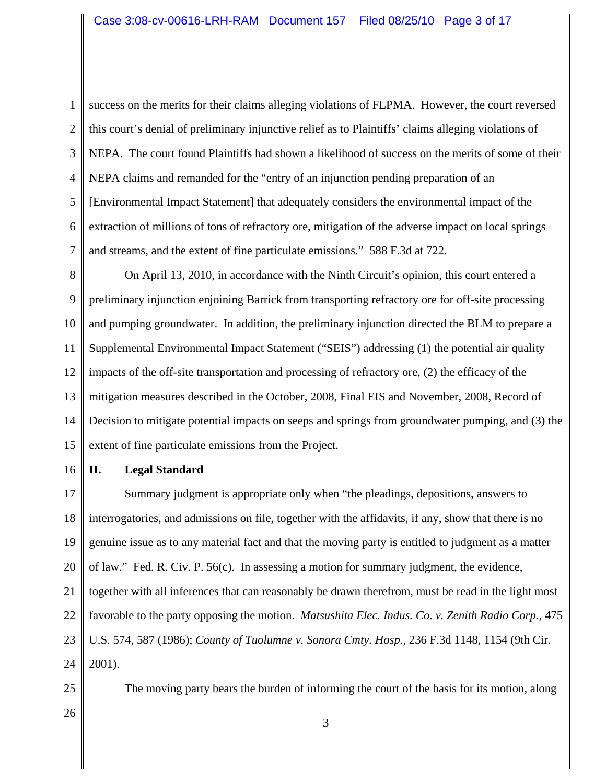1 2 3

4 5 6 7 success on the merits for their claims alleging violations of FLPMA. However, the court reversed this court's denial of preliminary injunctive relief as to Plaintiffs' claims alleging violations of NEPA. The court found Plaintiffs had shown a likelihood of success on the merits of some of their NEPA claims and remanded for the "entry of an injunction pending preparation of an [Environmental Impact Statement] that adequately considers the environmental impact of the extraction of millions of tons of refractory ore, mitigation of the adverse impact on local springs and streams, and the extent of fine particulate emissions." 588 F.3d at 722.

8 9 10 11 12 13 14 15 On April 13, 2010, in accordance with the Ninth Circuit's opinion, this court entered a preliminary injunction enjoining Barrick from transporting refractory ore for off-site processing and pumping groundwater. In addition, the preliminary injunction directed the BLM to prepare a Supplemental Environmental Impact Statement ("SEIS") addressing (1) the potential air quality impacts of the off-site transportation and processing of refractory ore, (2) the efficacy of the mitigation measures described in the October, 2008, Final EIS and November, 2008, Record of Decision to mitigate potential impacts on seeps and springs from groundwater pumping, and (3) the extent of fine particulate emissions from the Project.

#### 16 **II. Legal Standard**

17 18 19 20 21 22 23 24 Summary judgment is appropriate only when "the pleadings, depositions, answers to interrogatories, and admissions on file, together with the affidavits, if any, show that there is no genuine issue as to any material fact and that the moving party is entitled to judgment as a matter of law." Fed. R. Civ. P. 56(c). In assessing a motion for summary judgment, the evidence, together with all inferences that can reasonably be drawn therefrom, must be read in the light most favorable to the party opposing the motion. *Matsushita Elec. Indus. Co. v. Zenith Radio Corp.*, 475 U.S. 574, 587 (1986); *County of Tuolumne v. Sonora Cmty. Hosp.*, 236 F.3d 1148, 1154 (9th Cir. 2001).

The moving party bears the burden of informing the court of the basis for its motion, along

26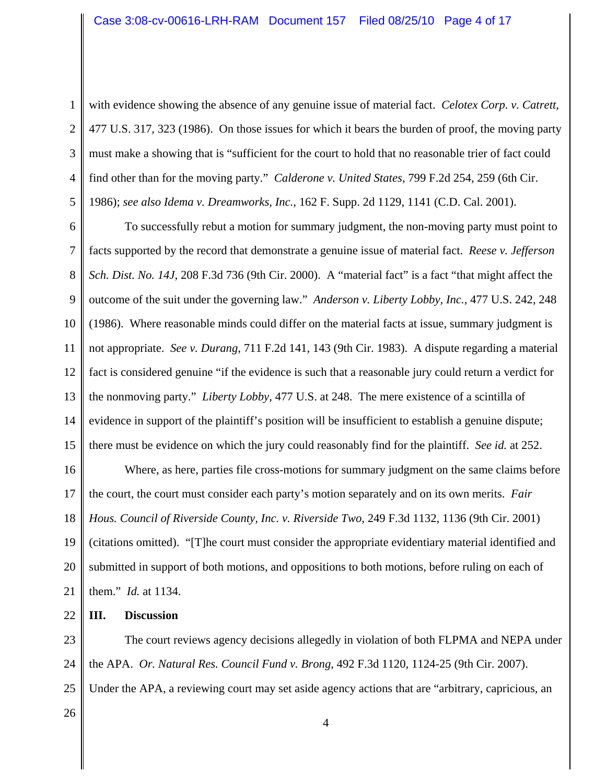3

4

5

with evidence showing the absence of any genuine issue of material fact. *Celotex Corp. v. Catrett*, 477 U.S. 317, 323 (1986). On those issues for which it bears the burden of proof, the moving party must make a showing that is "sufficient for the court to hold that no reasonable trier of fact could find other than for the moving party." *Calderone v. United States*, 799 F.2d 254, 259 (6th Cir. 1986); *see also Idema v. Dreamworks, Inc.*, 162 F. Supp. 2d 1129, 1141 (C.D. Cal. 2001).

6 7 8 9 10 11 12 13 14 15 To successfully rebut a motion for summary judgment, the non-moving party must point to facts supported by the record that demonstrate a genuine issue of material fact. *Reese v. Jefferson Sch. Dist. No. 14J*, 208 F.3d 736 (9th Cir. 2000). A "material fact" is a fact "that might affect the outcome of the suit under the governing law." *Anderson v. Liberty Lobby, Inc.*, 477 U.S. 242, 248 (1986). Where reasonable minds could differ on the material facts at issue, summary judgment is not appropriate. *See v. Durang*, 711 F.2d 141, 143 (9th Cir. 1983). A dispute regarding a material fact is considered genuine "if the evidence is such that a reasonable jury could return a verdict for the nonmoving party." *Liberty Lobby*, 477 U.S. at 248. The mere existence of a scintilla of evidence in support of the plaintiff's position will be insufficient to establish a genuine dispute; there must be evidence on which the jury could reasonably find for the plaintiff. *See id.* at 252.

16 17 18 19 20 21 Where, as here, parties file cross-motions for summary judgment on the same claims before the court, the court must consider each party's motion separately and on its own merits. *Fair Hous. Council of Riverside County, Inc. v. Riverside Two*, 249 F.3d 1132, 1136 (9th Cir. 2001) (citations omitted). "[T]he court must consider the appropriate evidentiary material identified and submitted in support of both motions, and oppositions to both motions, before ruling on each of them." *Id.* at 1134.

22 **III. Discussion**

23 24 25 The court reviews agency decisions allegedly in violation of both FLPMA and NEPA under the APA. *Or. Natural Res. Council Fund v. Brong*, 492 F.3d 1120, 1124-25 (9th Cir. 2007). Under the APA, a reviewing court may set aside agency actions that are "arbitrary, capricious, an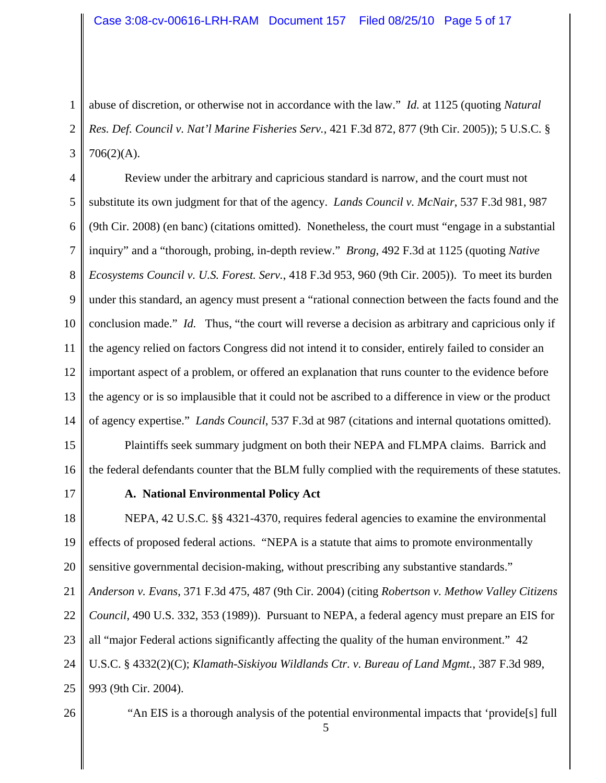1 2 3 abuse of discretion, or otherwise not in accordance with the law." *Id.* at 1125 (quoting *Natural Res. Def. Council v. Nat'l Marine Fisheries Serv.*, 421 F.3d 872, 877 (9th Cir. 2005)); 5 U.S.C. §  $706(2)(A)$ .

4 5 6 7 8 9 10 11 12 13 14 Review under the arbitrary and capricious standard is narrow, and the court must not substitute its own judgment for that of the agency. *Lands Council v. McNair*, 537 F.3d 981, 987 (9th Cir. 2008) (en banc) (citations omitted). Nonetheless, the court must "engage in a substantial inquiry" and a "thorough, probing, in-depth review." *Brong*, 492 F.3d at 1125 (quoting *Native Ecosystems Council v. U.S. Forest. Serv.*, 418 F.3d 953, 960 (9th Cir. 2005)). To meet its burden under this standard, an agency must present a "rational connection between the facts found and the conclusion made." *Id.* Thus, "the court will reverse a decision as arbitrary and capricious only if the agency relied on factors Congress did not intend it to consider, entirely failed to consider an important aspect of a problem, or offered an explanation that runs counter to the evidence before the agency or is so implausible that it could not be ascribed to a difference in view or the product of agency expertise." *Lands Council*, 537 F.3d at 987 (citations and internal quotations omitted).

15 16 Plaintiffs seek summary judgment on both their NEPA and FLMPA claims. Barrick and the federal defendants counter that the BLM fully complied with the requirements of these statutes.

17

# **A. National Environmental Policy Act**

18 19 20 21 22 23 24 25 NEPA, 42 U.S.C. §§ 4321-4370, requires federal agencies to examine the environmental effects of proposed federal actions. "NEPA is a statute that aims to promote environmentally sensitive governmental decision-making, without prescribing any substantive standards." *Anderson v. Evans*, 371 F.3d 475, 487 (9th Cir. 2004) (citing *Robertson v. Methow Valley Citizens Council*, 490 U.S. 332, 353 (1989)). Pursuant to NEPA, a federal agency must prepare an EIS for all "major Federal actions significantly affecting the quality of the human environment." 42 U.S.C. § 4332(2)(C); *Klamath-Siskiyou Wildlands Ctr. v. Bureau of Land Mgmt.*, 387 F.3d 989, 993 (9th Cir. 2004).

26

"An EIS is a thorough analysis of the potential environmental impacts that 'provide[s] full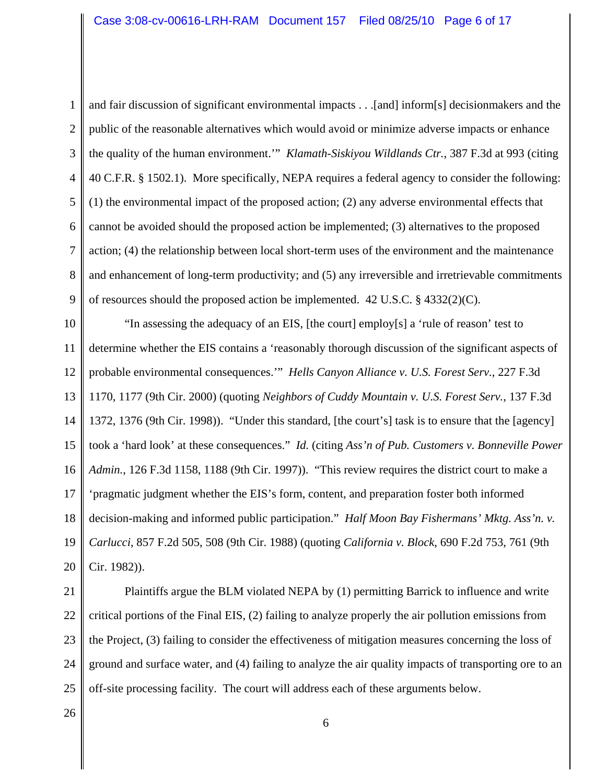1 2 3 4 5 6 7 8 9 and fair discussion of significant environmental impacts . . .[and] inform[s] decisionmakers and the public of the reasonable alternatives which would avoid or minimize adverse impacts or enhance the quality of the human environment.'" *Klamath-Siskiyou Wildlands Ctr.*, 387 F.3d at 993 (citing 40 C.F.R. § 1502.1). More specifically, NEPA requires a federal agency to consider the following: (1) the environmental impact of the proposed action; (2) any adverse environmental effects that cannot be avoided should the proposed action be implemented; (3) alternatives to the proposed action; (4) the relationship between local short-term uses of the environment and the maintenance and enhancement of long-term productivity; and (5) any irreversible and irretrievable commitments of resources should the proposed action be implemented.  $42 \text{ U.S.C.}$  §  $4332(2)(\text{C})$ .

10 11 12 13 14 15 16 17 18 19 20 "In assessing the adequacy of an EIS, [the court] employ[s] a 'rule of reason' test to determine whether the EIS contains a 'reasonably thorough discussion of the significant aspects of probable environmental consequences.'" *Hells Canyon Alliance v. U.S. Forest Serv.*, 227 F.3d 1170, 1177 (9th Cir. 2000) (quoting *Neighbors of Cuddy Mountain v. U.S. Forest Serv.*, 137 F.3d 1372, 1376 (9th Cir. 1998)). "Under this standard, [the court's] task is to ensure that the [agency] took a 'hard look' at these consequences." *Id.* (citing *Ass'n of Pub. Customers v. Bonneville Power Admin.*, 126 F.3d 1158, 1188 (9th Cir. 1997)). "This review requires the district court to make a 'pragmatic judgment whether the EIS's form, content, and preparation foster both informed decision-making and informed public participation." *Half Moon Bay Fishermans' Mktg. Ass'n. v. Carlucci*, 857 F.2d 505, 508 (9th Cir. 1988) (quoting *California v. Block*, 690 F.2d 753, 761 (9th Cir. 1982)).

21 Plaintiffs argue the BLM violated NEPA by (1) permitting Barrick to influence and write

22 23 24 25 critical portions of the Final EIS, (2) failing to analyze properly the air pollution emissions from the Project, (3) failing to consider the effectiveness of mitigation measures concerning the loss of ground and surface water, and (4) failing to analyze the air quality impacts of transporting ore to an off-site processing facility. The court will address each of these arguments below.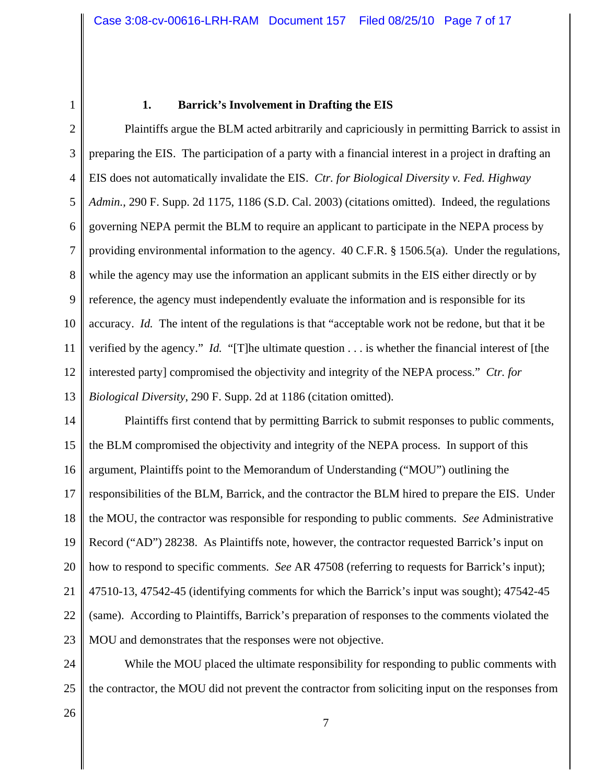1

#### **1. Barrick's Involvement in Drafting the EIS**

2 3 4 5 6 7 8 9 10 11 12 13 Plaintiffs argue the BLM acted arbitrarily and capriciously in permitting Barrick to assist in preparing the EIS. The participation of a party with a financial interest in a project in drafting an EIS does not automatically invalidate the EIS. *Ctr. for Biological Diversity v. Fed. Highway Admin.*, 290 F. Supp. 2d 1175, 1186 (S.D. Cal. 2003) (citations omitted). Indeed, the regulations governing NEPA permit the BLM to require an applicant to participate in the NEPA process by providing environmental information to the agency. 40 C.F.R. § 1506.5(a). Under the regulations, while the agency may use the information an applicant submits in the EIS either directly or by reference, the agency must independently evaluate the information and is responsible for its accuracy. *Id.* The intent of the regulations is that "acceptable work not be redone, but that it be verified by the agency." *Id.* "[T]he ultimate question . . . is whether the financial interest of [the interested party] compromised the objectivity and integrity of the NEPA process." *Ctr. for Biological Diversity*, 290 F. Supp. 2d at 1186 (citation omitted).

14 15 16 17 18 19 20 21 22 23 Plaintiffs first contend that by permitting Barrick to submit responses to public comments, the BLM compromised the objectivity and integrity of the NEPA process. In support of this argument, Plaintiffs point to the Memorandum of Understanding ("MOU") outlining the responsibilities of the BLM, Barrick, and the contractor the BLM hired to prepare the EIS. Under the MOU, the contractor was responsible for responding to public comments. *See* Administrative Record ("AD") 28238. As Plaintiffs note, however, the contractor requested Barrick's input on how to respond to specific comments. *See* AR 47508 (referring to requests for Barrick's input); 47510-13, 47542-45 (identifying comments for which the Barrick's input was sought); 47542-45 (same). According to Plaintiffs, Barrick's preparation of responses to the comments violated the MOU and demonstrates that the responses were not objective.

24 25 While the MOU placed the ultimate responsibility for responding to public comments with the contractor, the MOU did not prevent the contractor from soliciting input on the responses from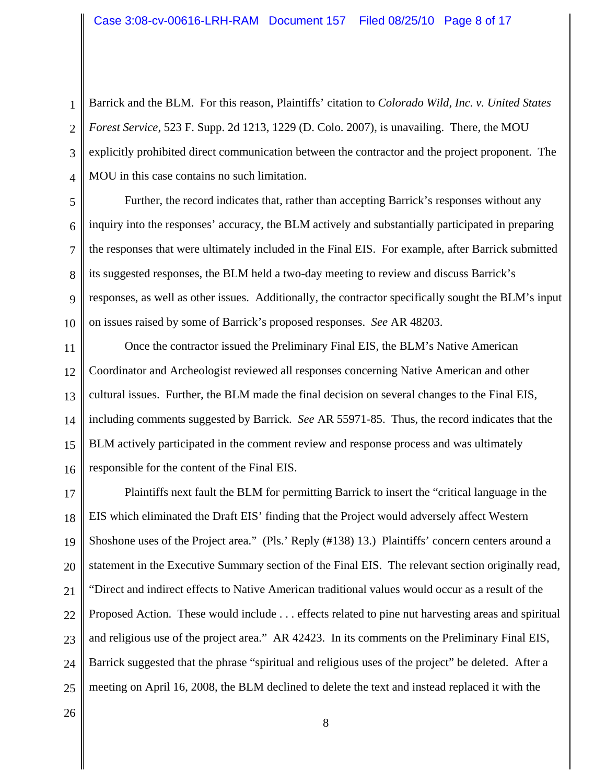1 2 3 4 Barrick and the BLM. For this reason, Plaintiffs' citation to *Colorado Wild, Inc. v. United States Forest Service*, 523 F. Supp. 2d 1213, 1229 (D. Colo. 2007), is unavailing. There, the MOU explicitly prohibited direct communication between the contractor and the project proponent. The MOU in this case contains no such limitation.

5 6 7 8 9 10 Further, the record indicates that, rather than accepting Barrick's responses without any inquiry into the responses' accuracy, the BLM actively and substantially participated in preparing the responses that were ultimately included in the Final EIS. For example, after Barrick submitted its suggested responses, the BLM held a two-day meeting to review and discuss Barrick's responses, as well as other issues. Additionally, the contractor specifically sought the BLM's input on issues raised by some of Barrick's proposed responses. *See* AR 48203.

11 12 13 14 15 16 Once the contractor issued the Preliminary Final EIS, the BLM's Native American Coordinator and Archeologist reviewed all responses concerning Native American and other cultural issues. Further, the BLM made the final decision on several changes to the Final EIS, including comments suggested by Barrick. *See* AR 55971-85. Thus, the record indicates that the BLM actively participated in the comment review and response process and was ultimately responsible for the content of the Final EIS.

17 18 19 20 21 22 23 24 25 Plaintiffs next fault the BLM for permitting Barrick to insert the "critical language in the EIS which eliminated the Draft EIS' finding that the Project would adversely affect Western Shoshone uses of the Project area." (Pls.' Reply (#138) 13.) Plaintiffs' concern centers around a statement in the Executive Summary section of the Final EIS. The relevant section originally read, "Direct and indirect effects to Native American traditional values would occur as a result of the Proposed Action. These would include . . . effects related to pine nut harvesting areas and spiritual and religious use of the project area." AR 42423. In its comments on the Preliminary Final EIS, Barrick suggested that the phrase "spiritual and religious uses of the project" be deleted. After a meeting on April 16, 2008, the BLM declined to delete the text and instead replaced it with the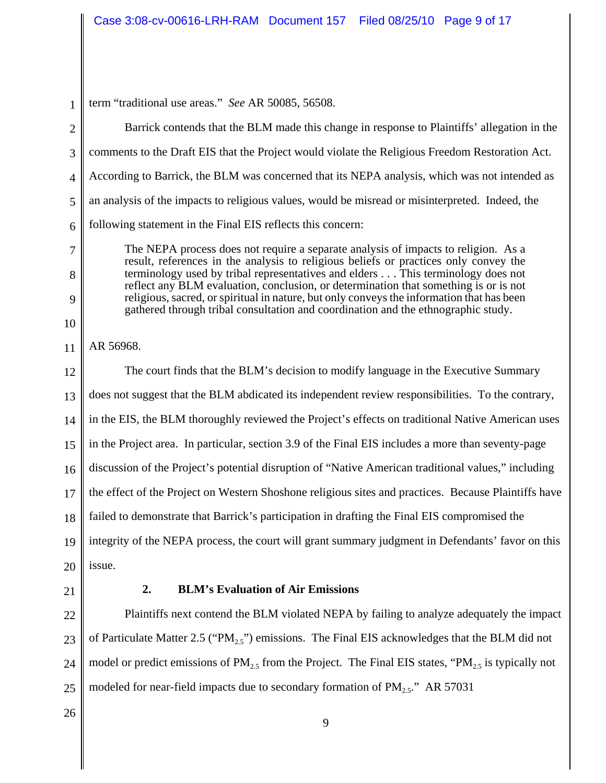1 2 3 4 5 6 7 8 9 10 11 12 13 14 15 16 17 18 19 20 21 term "traditional use areas." *See* AR 50085, 56508. Barrick contends that the BLM made this change in response to Plaintiffs' allegation in the comments to the Draft EIS that the Project would violate the Religious Freedom Restoration Act. According to Barrick, the BLM was concerned that its NEPA analysis, which was not intended as an analysis of the impacts to religious values, would be misread or misinterpreted. Indeed, the following statement in the Final EIS reflects this concern: The NEPA process does not require a separate analysis of impacts to religion. As a result, references in the analysis to religious beliefs or practices only convey the terminology used by tribal representatives and elders . . . This terminology does not reflect any BLM evaluation, conclusion, or determination that something is or is not religious, sacred, or spiritual in nature, but only conveys the information that has been gathered through tribal consultation and coordination and the ethnographic study. AR 56968. The court finds that the BLM's decision to modify language in the Executive Summary does not suggest that the BLM abdicated its independent review responsibilities. To the contrary, in the EIS, the BLM thoroughly reviewed the Project's effects on traditional Native American uses in the Project area. In particular, section 3.9 of the Final EIS includes a more than seventy-page discussion of the Project's potential disruption of "Native American traditional values," including the effect of the Project on Western Shoshone religious sites and practices. Because Plaintiffs have failed to demonstrate that Barrick's participation in drafting the Final EIS compromised the integrity of the NEPA process, the court will grant summary judgment in Defendants' favor on this issue. **2. BLM's Evaluation of Air Emissions**

22 23 24 25 Plaintiffs next contend the BLM violated NEPA by failing to analyze adequately the impact of Particulate Matter 2.5 ("PM<sub>25</sub>") emissions. The Final EIS acknowledges that the BLM did not model or predict emissions of  $PM_{2.5}$  from the Project. The Final EIS states, "PM<sub>2.5</sub> is typically not modeled for near-field impacts due to secondary formation of  $PM_{2.5}$ ." AR 57031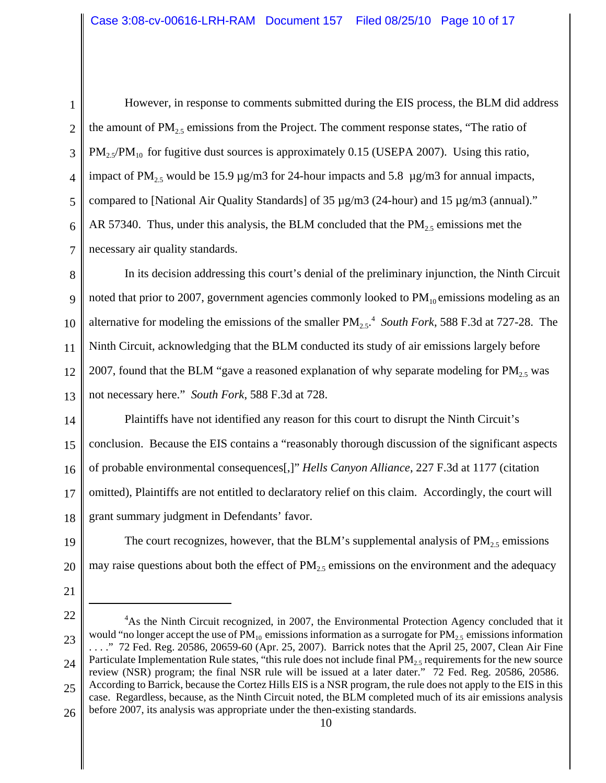2 3 4 5 6 7 However, in response to comments submitted during the EIS process, the BLM did address the amount of  $PM<sub>25</sub>$  emissions from the Project. The comment response states, "The ratio of  $PM_{2.5}/PM_{10}$  for fugitive dust sources is approximately 0.15 (USEPA 2007). Using this ratio, impact of PM<sub>2.5</sub> would be 15.9  $\mu$ g/m3 for 24-hour impacts and 5.8  $\mu$ g/m3 for annual impacts, compared to [National Air Quality Standards] of 35 µg/m3 (24-hour) and 15 µg/m3 (annual)." AR 57340. Thus, under this analysis, the BLM concluded that the  $PM_{2.5}$  emissions met the necessary air quality standards.

8 9 10 11 12 13 In its decision addressing this court's denial of the preliminary injunction, the Ninth Circuit noted that prior to 2007, government agencies commonly looked to  $PM_{10}$  emissions modeling as an alternative for modeling the emissions of the smaller  $PM_{2.5}$ <sup>4</sup> South Fork, 588 F.3d at 727-28. The Ninth Circuit, acknowledging that the BLM conducted its study of air emissions largely before 2007, found that the BLM "gave a reasoned explanation of why separate modeling for  $PM_{2.5}$  was not necessary here." *South Fork*, 588 F.3d at 728.

14 15 16 17 18 Plaintiffs have not identified any reason for this court to disrupt the Ninth Circuit's conclusion. Because the EIS contains a "reasonably thorough discussion of the significant aspects of probable environmental consequences[,]" *Hells Canyon Alliance*, 227 F.3d at 1177 (citation omitted), Plaintiffs are not entitled to declaratory relief on this claim. Accordingly, the court will grant summary judgment in Defendants' favor.

19 20 The court recognizes, however, that the BLM's supplemental analysis of  $PM_{2.5}$  emissions may raise questions about both the effect of  $PM<sub>2.5</sub>$  emissions on the environment and the adequacy

21

<sup>22</sup> 23 24 25 <sup>4</sup>As the Ninth Circuit recognized, in 2007, the Environmental Protection Agency concluded that it would "no longer accept the use of  $PM_{10}$  emissions information as a surrogate for  $PM_{2.5}$  emissions information . . . ." 72 Fed. Reg. 20586, 20659-60 (Apr. 25, 2007). Barrick notes that the April 25, 2007, Clean Air Fine Particulate Implementation Rule states, "this rule does not include final  $PM_{2.5}$  requirements for the new source review (NSR) program; the final NSR rule will be issued at a later dater." 72 Fed. Reg. 20586, 20586. According to Barrick, because the Cortez Hills EIS is a NSR program, the rule does not apply to the EIS in this case. Regardless, because, as the Ninth Circuit noted, the BLM completed much of its air emissions analysis

<sup>26</sup> before 2007, its analysis was appropriate under the then-existing standards.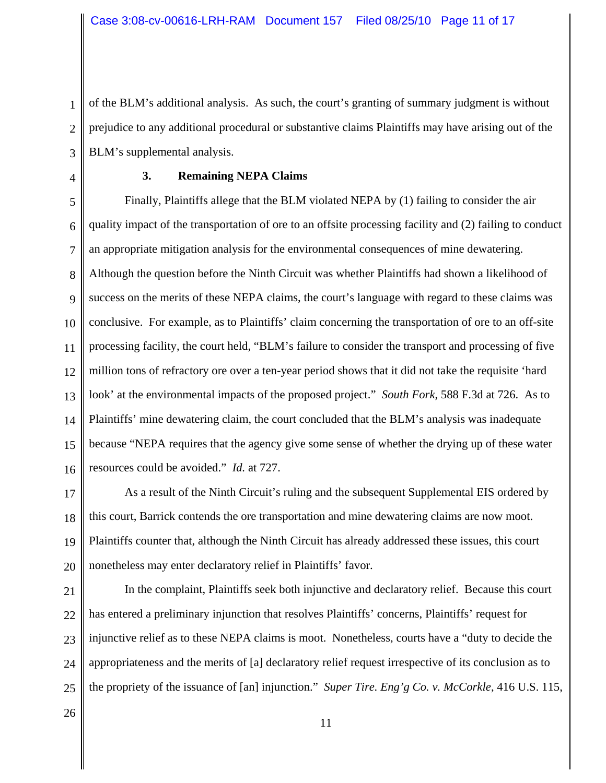3 of the BLM's additional analysis. As such, the court's granting of summary judgment is without prejudice to any additional procedural or substantive claims Plaintiffs may have arising out of the BLM's supplemental analysis.

4

1

2

### **3. Remaining NEPA Claims**

5 6 7 8 9 10 11 12 13 14 15 16 Finally, Plaintiffs allege that the BLM violated NEPA by (1) failing to consider the air quality impact of the transportation of ore to an offsite processing facility and (2) failing to conduct an appropriate mitigation analysis for the environmental consequences of mine dewatering. Although the question before the Ninth Circuit was whether Plaintiffs had shown a likelihood of success on the merits of these NEPA claims, the court's language with regard to these claims was conclusive. For example, as to Plaintiffs' claim concerning the transportation of ore to an off-site processing facility, the court held, "BLM's failure to consider the transport and processing of five million tons of refractory ore over a ten-year period shows that it did not take the requisite 'hard look' at the environmental impacts of the proposed project." *South Fork*, 588 F.3d at 726. As to Plaintiffs' mine dewatering claim, the court concluded that the BLM's analysis was inadequate because "NEPA requires that the agency give some sense of whether the drying up of these water resources could be avoided." *Id.* at 727.

17 18 19 20 As a result of the Ninth Circuit's ruling and the subsequent Supplemental EIS ordered by this court, Barrick contends the ore transportation and mine dewatering claims are now moot. Plaintiffs counter that, although the Ninth Circuit has already addressed these issues, this court nonetheless may enter declaratory relief in Plaintiffs' favor.

21 22 23 24 25 In the complaint, Plaintiffs seek both injunctive and declaratory relief. Because this court has entered a preliminary injunction that resolves Plaintiffs' concerns, Plaintiffs' request for injunctive relief as to these NEPA claims is moot. Nonetheless, courts have a "duty to decide the appropriateness and the merits of [a] declaratory relief request irrespective of its conclusion as to the propriety of the issuance of [an] injunction." *Super Tire. Eng'g Co. v. McCorkle*, 416 U.S. 115,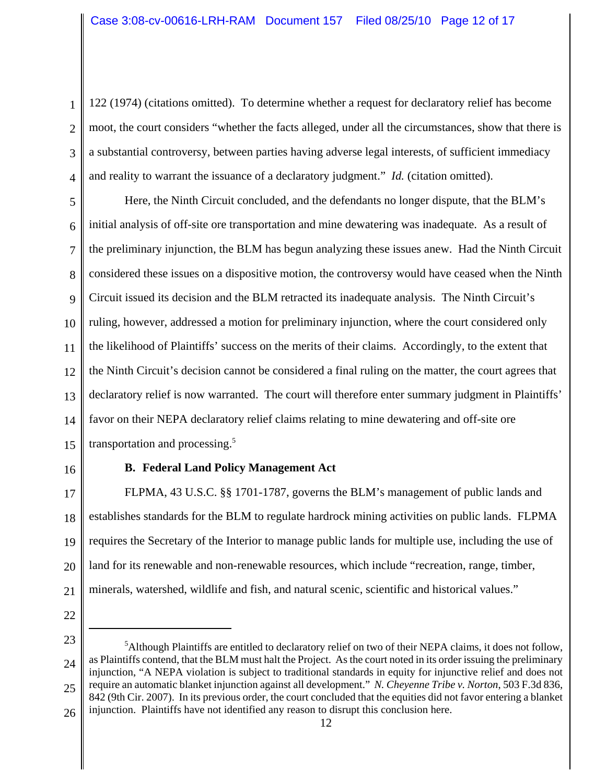1 2 3 4 122 (1974) (citations omitted). To determine whether a request for declaratory relief has become moot, the court considers "whether the facts alleged, under all the circumstances, show that there is a substantial controversy, between parties having adverse legal interests, of sufficient immediacy and reality to warrant the issuance of a declaratory judgment." *Id.* (citation omitted).

5 6 7 8 9 10 11 12 13 14 15 Here, the Ninth Circuit concluded, and the defendants no longer dispute, that the BLM's initial analysis of off-site ore transportation and mine dewatering was inadequate. As a result of the preliminary injunction, the BLM has begun analyzing these issues anew. Had the Ninth Circuit considered these issues on a dispositive motion, the controversy would have ceased when the Ninth Circuit issued its decision and the BLM retracted its inadequate analysis. The Ninth Circuit's ruling, however, addressed a motion for preliminary injunction, where the court considered only the likelihood of Plaintiffs' success on the merits of their claims. Accordingly, to the extent that the Ninth Circuit's decision cannot be considered a final ruling on the matter, the court agrees that declaratory relief is now warranted. The court will therefore enter summary judgment in Plaintiffs' favor on their NEPA declaratory relief claims relating to mine dewatering and off-site ore transportation and processing.<sup>5</sup>

16

# **B. Federal Land Policy Management Act**

17 18 19 20 21 FLPMA, 43 U.S.C. §§ 1701-1787, governs the BLM's management of public lands and establishes standards for the BLM to regulate hardrock mining activities on public lands. FLPMA requires the Secretary of the Interior to manage public lands for multiple use, including the use of land for its renewable and non-renewable resources, which include "recreation, range, timber, minerals, watershed, wildlife and fish, and natural scenic, scientific and historical values."

<sup>23</sup> 24 25 26 <sup>5</sup>Although Plaintiffs are entitled to declaratory relief on two of their NEPA claims, it does not follow, as Plaintiffs contend, that the BLM must halt the Project. As the court noted in its order issuing the preliminary injunction, "A NEPA violation is subject to traditional standards in equity for injunctive relief and does not require an automatic blanket injunction against all development." *N. Cheyenne Tribe v. Norton*, 503 F.3d 836, 842 (9th Cir. 2007). In its previous order, the court concluded that the equities did not favor entering a blanket injunction. Plaintiffs have not identified any reason to disrupt this conclusion here.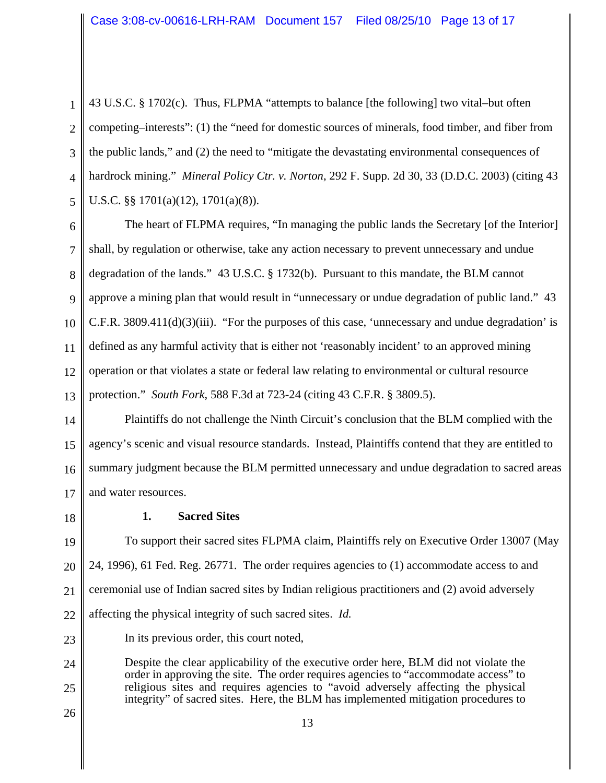1  $\mathcal{L}$ 3 4 5 43 U.S.C. § 1702(c). Thus, FLPMA "attempts to balance [the following] two vital–but often competing–interests": (1) the "need for domestic sources of minerals, food timber, and fiber from the public lands," and (2) the need to "mitigate the devastating environmental consequences of hardrock mining." *Mineral Policy Ctr. v. Norton*, 292 F. Supp. 2d 30, 33 (D.D.C. 2003) (citing 43 U.S.C. §§ 1701(a)(12), 1701(a)(8)).

6 7 8 9 10 11 12 13 The heart of FLPMA requires, "In managing the public lands the Secretary [of the Interior] shall, by regulation or otherwise, take any action necessary to prevent unnecessary and undue degradation of the lands." 43 U.S.C. § 1732(b). Pursuant to this mandate, the BLM cannot approve a mining plan that would result in "unnecessary or undue degradation of public land." 43 C.F.R. 3809.411(d)(3)(iii). "For the purposes of this case, 'unnecessary and undue degradation' is defined as any harmful activity that is either not 'reasonably incident' to an approved mining operation or that violates a state or federal law relating to environmental or cultural resource protection." *South Fork*, 588 F.3d at 723-24 (citing 43 C.F.R. § 3809.5).

14 15 16 17 Plaintiffs do not challenge the Ninth Circuit's conclusion that the BLM complied with the agency's scenic and visual resource standards. Instead, Plaintiffs contend that they are entitled to summary judgment because the BLM permitted unnecessary and undue degradation to sacred areas and water resources.

18

# **1. Sacred Sites**

19 20 21 22 To support their sacred sites FLPMA claim, Plaintiffs rely on Executive Order 13007 (May 24, 1996), 61 Fed. Reg. 26771. The order requires agencies to (1) accommodate access to and ceremonial use of Indian sacred sites by Indian religious practitioners and (2) avoid adversely affecting the physical integrity of such sacred sites. *Id.*

In its previous order, this court noted,

24 25 Despite the clear applicability of the executive order here, BLM did not violate the order in approving the site. The order requires agencies to "accommodate access" to religious sites and requires agencies to "avoid adversely affecting the physical integrity" of sacred sites. Here, the BLM has implemented mitigation procedures to

26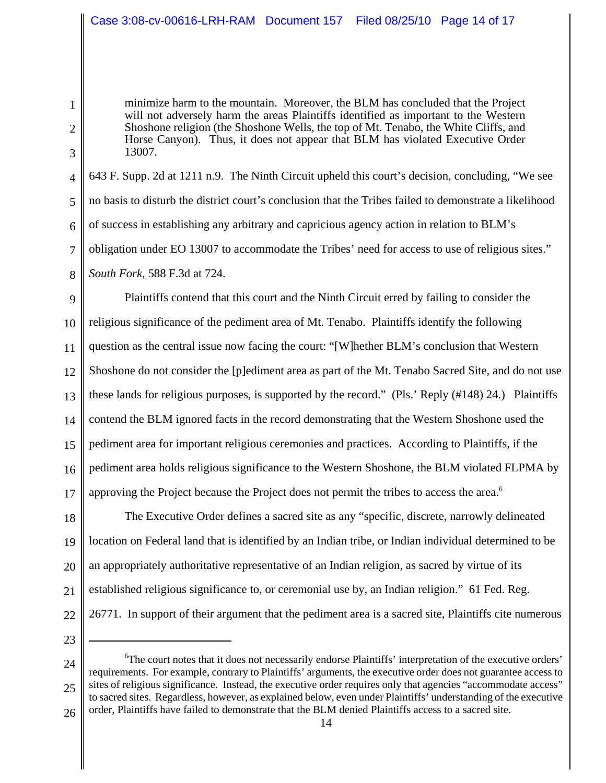minimize harm to the mountain. Moreover, the BLM has concluded that the Project will not adversely harm the areas Plaintiffs identified as important to the Western Shoshone religion (the Shoshone Wells, the top of Mt. Tenabo, the White Cliffs, and Horse Canyon). Thus, it does not appear that BLM has violated Executive Order 13007.

4 5 6 7 8 643 F. Supp. 2d at 1211 n.9. The Ninth Circuit upheld this court's decision, concluding, "We see no basis to disturb the district court's conclusion that the Tribes failed to demonstrate a likelihood of success in establishing any arbitrary and capricious agency action in relation to BLM's obligation under EO 13007 to accommodate the Tribes' need for access to use of religious sites." *South Fork*, 588 F.3d at 724.

9 10 11 12 13 14 15 16 17 Plaintiffs contend that this court and the Ninth Circuit erred by failing to consider the religious significance of the pediment area of Mt. Tenabo. Plaintiffs identify the following question as the central issue now facing the court: "[W]hether BLM's conclusion that Western Shoshone do not consider the [p]ediment area as part of the Mt. Tenabo Sacred Site, and do not use these lands for religious purposes, is supported by the record." (Pls.' Reply (#148) 24.) Plaintiffs contend the BLM ignored facts in the record demonstrating that the Western Shoshone used the pediment area for important religious ceremonies and practices. According to Plaintiffs, if the pediment area holds religious significance to the Western Shoshone, the BLM violated FLPMA by approving the Project because the Project does not permit the tribes to access the area.<sup>6</sup>

18 19 20 21 22 The Executive Order defines a sacred site as any "specific, discrete, narrowly delineated location on Federal land that is identified by an Indian tribe, or Indian individual determined to be an appropriately authoritative representative of an Indian religion, as sacred by virtue of its established religious significance to, or ceremonial use by, an Indian religion." 61 Fed. Reg. 26771. In support of their argument that the pediment area is a sacred site, Plaintiffs cite numerous

23

1

2

3

24 25 26 <sup>6</sup>The court notes that it does not necessarily endorse Plaintiffs' interpretation of the executive orders' requirements. For example, contrary to Plaintiffs' arguments, the executive order does not guarantee access to sites of religious significance. Instead, the executive order requires only that agencies "accommodate access" to sacred sites. Regardless, however, as explained below, even under Plaintiffs' understanding of the executive order, Plaintiffs have failed to demonstrate that the BLM denied Plaintiffs access to a sacred site.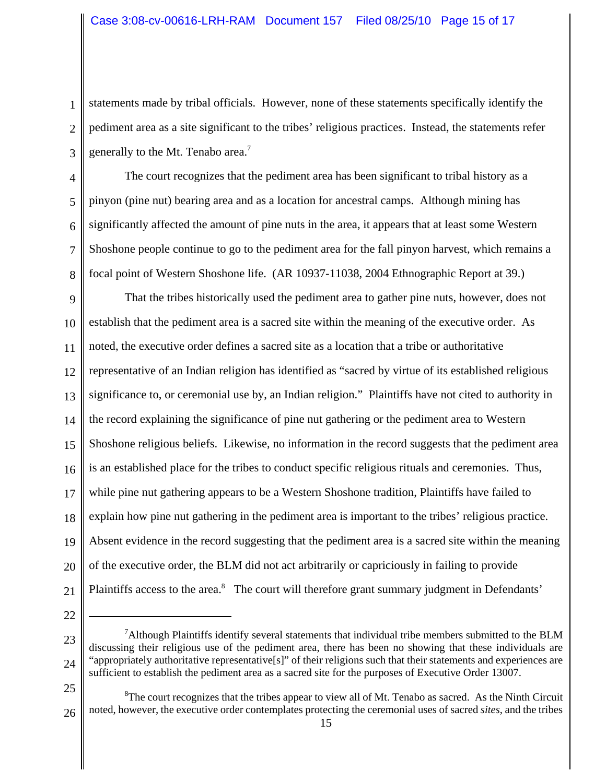1 2 3 statements made by tribal officials. However, none of these statements specifically identify the pediment area as a site significant to the tribes' religious practices. Instead, the statements refer generally to the Mt. Tenabo area.<sup>7</sup>

4 5 6 7 8 The court recognizes that the pediment area has been significant to tribal history as a pinyon (pine nut) bearing area and as a location for ancestral camps. Although mining has significantly affected the amount of pine nuts in the area, it appears that at least some Western Shoshone people continue to go to the pediment area for the fall pinyon harvest, which remains a focal point of Western Shoshone life. (AR 10937-11038, 2004 Ethnographic Report at 39.)

9 10 11 12 13 14 15 16 17 18 19 20 21 That the tribes historically used the pediment area to gather pine nuts, however, does not establish that the pediment area is a sacred site within the meaning of the executive order. As noted, the executive order defines a sacred site as a location that a tribe or authoritative representative of an Indian religion has identified as "sacred by virtue of its established religious significance to, or ceremonial use by, an Indian religion." Plaintiffs have not cited to authority in the record explaining the significance of pine nut gathering or the pediment area to Western Shoshone religious beliefs. Likewise, no information in the record suggests that the pediment area is an established place for the tribes to conduct specific religious rituals and ceremonies. Thus, while pine nut gathering appears to be a Western Shoshone tradition, Plaintiffs have failed to explain how pine nut gathering in the pediment area is important to the tribes' religious practice. Absent evidence in the record suggesting that the pediment area is a sacred site within the meaning of the executive order, the BLM did not act arbitrarily or capriciously in failing to provide Plaintiffs access to the area.<sup>8</sup> The court will therefore grant summary judgment in Defendants'

<sup>23</sup> 24 <sup>7</sup>Although Plaintiffs identify several statements that individual tribe members submitted to the BLM discussing their religious use of the pediment area, there has been no showing that these individuals are "appropriately authoritative representative[s]" of their religions such that their statements and experiences are sufficient to establish the pediment area as a sacred site for the purposes of Executive Order 13007.

<sup>25</sup>

<sup>26</sup>  ${}^{8}$ The court recognizes that the tribes appear to view all of Mt. Tenabo as sacred. As the Ninth Circuit noted, however, the executive order contemplates protecting the ceremonial uses of sacred *sites*, and the tribes 15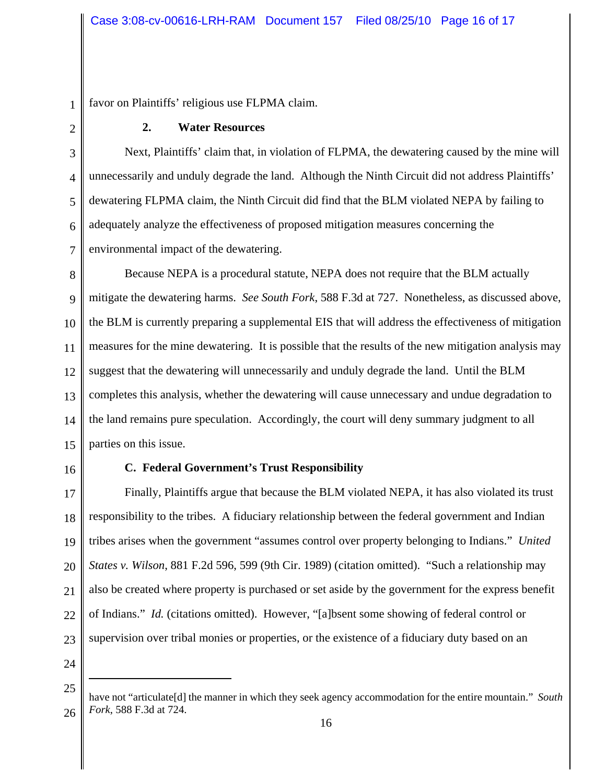favor on Plaintiffs' religious use FLPMA claim.

1

2

3

## **2. Water Resources**

4 5 6 7 Next, Plaintiffs' claim that, in violation of FLPMA, the dewatering caused by the mine will unnecessarily and unduly degrade the land. Although the Ninth Circuit did not address Plaintiffs' dewatering FLPMA claim, the Ninth Circuit did find that the BLM violated NEPA by failing to adequately analyze the effectiveness of proposed mitigation measures concerning the environmental impact of the dewatering.

8 9 10 11 12 13 14 15 Because NEPA is a procedural statute, NEPA does not require that the BLM actually mitigate the dewatering harms. *See South Fork*, 588 F.3d at 727. Nonetheless, as discussed above, the BLM is currently preparing a supplemental EIS that will address the effectiveness of mitigation measures for the mine dewatering. It is possible that the results of the new mitigation analysis may suggest that the dewatering will unnecessarily and unduly degrade the land. Until the BLM completes this analysis, whether the dewatering will cause unnecessary and undue degradation to the land remains pure speculation. Accordingly, the court will deny summary judgment to all parties on this issue.

16

#### **C. Federal Government's Trust Responsibility**

17 18 19 20 21 22 23 Finally, Plaintiffs argue that because the BLM violated NEPA, it has also violated its trust responsibility to the tribes. A fiduciary relationship between the federal government and Indian tribes arises when the government "assumes control over property belonging to Indians." *United States v. Wilson*, 881 F.2d 596, 599 (9th Cir. 1989) (citation omitted). "Such a relationship may also be created where property is purchased or set aside by the government for the express benefit of Indians." *Id.* (citations omitted). However, "[a]bsent some showing of federal control or supervision over tribal monies or properties, or the existence of a fiduciary duty based on an

<sup>25</sup> 26 have not "articulate[d] the manner in which they seek agency accommodation for the entire mountain." *South Fork*, 588 F.3d at 724.